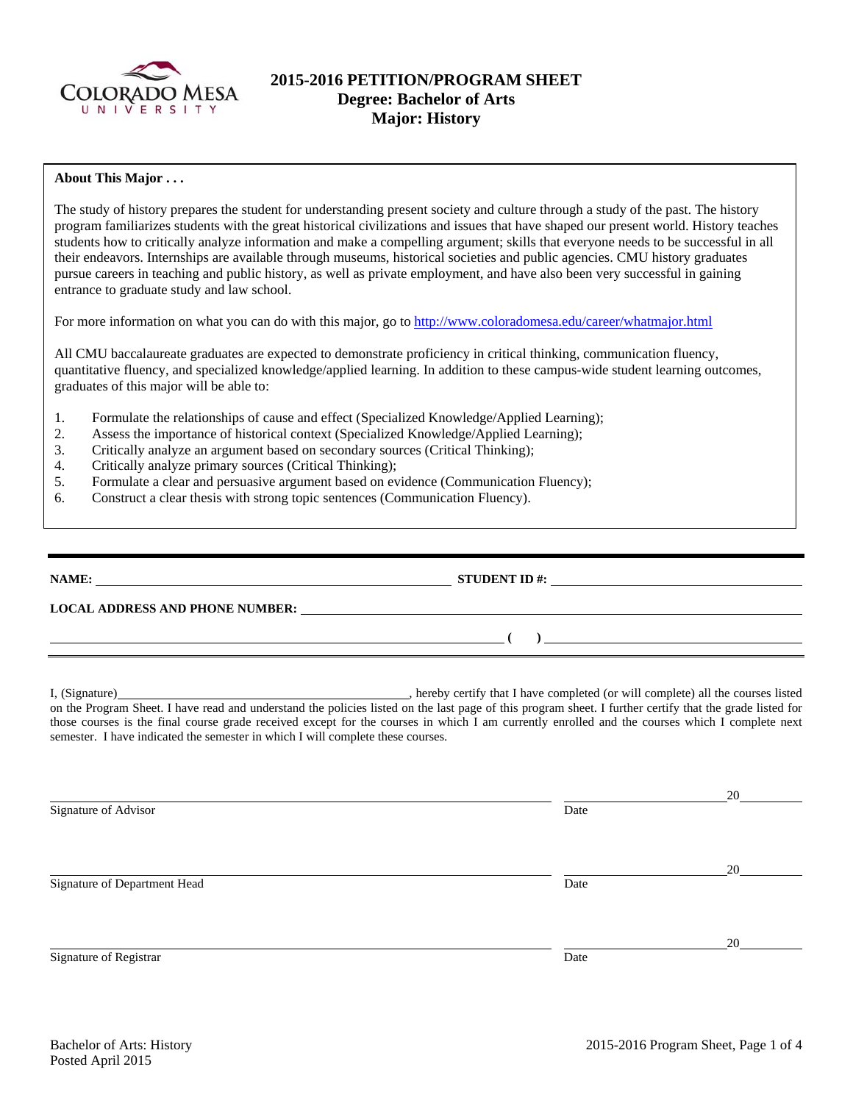

# **2015-2016 PETITION/PROGRAM SHEET Degree: Bachelor of Arts Major: History**

## **About This Major . . .**

The study of history prepares the student for understanding present society and culture through a study of the past. The history program familiarizes students with the great historical civilizations and issues that have shaped our present world. History teaches students how to critically analyze information and make a compelling argument; skills that everyone needs to be successful in all their endeavors. Internships are available through museums, historical societies and public agencies. CMU history graduates pursue careers in teaching and public history, as well as private employment, and have also been very successful in gaining entrance to graduate study and law school.

For more information on what you can do with this major, go to http://www.coloradomesa.edu/career/whatmajor.html

All CMU baccalaureate graduates are expected to demonstrate proficiency in critical thinking, communication fluency, quantitative fluency, and specialized knowledge/applied learning. In addition to these campus-wide student learning outcomes, graduates of this major will be able to:

- 1. Formulate the relationships of cause and effect (Specialized Knowledge/Applied Learning);
- 2. Assess the importance of historical context (Specialized Knowledge/Applied Learning);
- 3. Critically analyze an argument based on secondary sources (Critical Thinking);
- 4. Critically analyze primary sources (Critical Thinking);
- 5. Formulate a clear and persuasive argument based on evidence (Communication Fluency);
- 6. Construct a clear thesis with strong topic sentences (Communication Fluency).

| NAME:<br><u> 1999 - Johann Stein, fransk politiker (d. 1989)</u> | STUDENT ID $#$ : | the contract of the contract of the contract of the contract of the contract of the contract of the contract of |
|------------------------------------------------------------------|------------------|-----------------------------------------------------------------------------------------------------------------|
| <b>LOCAL ADDRESS AND PHONE NUMBER:</b>                           |                  |                                                                                                                 |
|                                                                  |                  |                                                                                                                 |
|                                                                  |                  |                                                                                                                 |

I, (Signature) , hereby certify that I have completed (or will complete) all the courses listed on the Program Sheet. I have read and understand the policies listed on the last page of this program sheet. I further certify that the grade listed for those courses is the final course grade received except for the courses in which I am currently enrolled and the courses which I complete next semester. I have indicated the semester in which I will complete these courses.

20 Signature of Advisor Date 20 Signature of Department Head Date 20 Signature of Registrar Date and Separature of Registrar Date and Separature of Registrar Date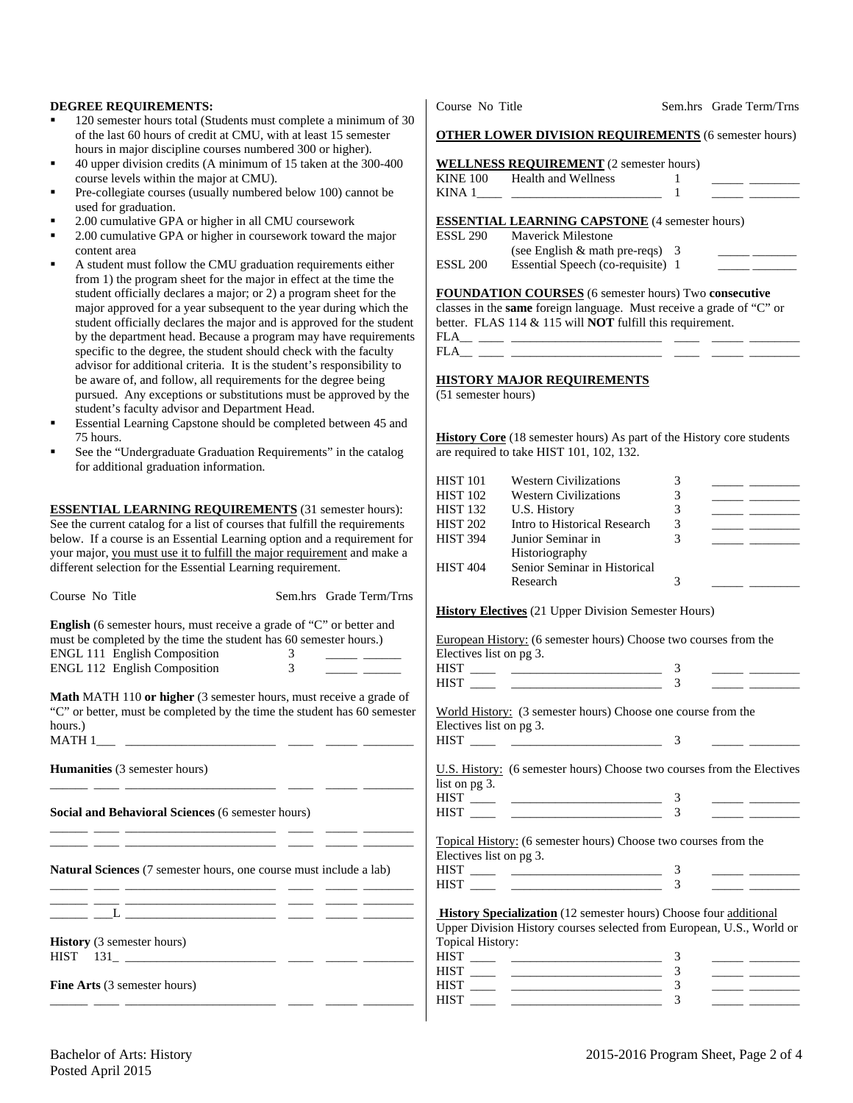#### **DEGREE REQUIREMENTS:**

- 120 semester hours total (Students must complete a minimum of 30 of the last 60 hours of credit at CMU, with at least 15 semester hours in major discipline courses numbered 300 or higher).
- 40 upper division credits (A minimum of 15 taken at the 300-400 course levels within the major at CMU).
- Pre-collegiate courses (usually numbered below 100) cannot be used for graduation.
- 2.00 cumulative GPA or higher in all CMU coursework
- 2.00 cumulative GPA or higher in coursework toward the major content area
- A student must follow the CMU graduation requirements either from 1) the program sheet for the major in effect at the time the student officially declares a major; or 2) a program sheet for the major approved for a year subsequent to the year during which the student officially declares the major and is approved for the student by the department head. Because a program may have requirements specific to the degree, the student should check with the faculty advisor for additional criteria. It is the student's responsibility to be aware of, and follow, all requirements for the degree being pursued. Any exceptions or substitutions must be approved by the student's faculty advisor and Department Head.
- Essential Learning Capstone should be completed between 45 and 75 hours.
- See the "Undergraduate Graduation Requirements" in the catalog for additional graduation information.

**ESSENTIAL LEARNING REQUIREMENTS** (31 semester hours): See the current catalog for a list of courses that fulfill the requirements below. If a course is an Essential Learning option and a requirement for your major, you must use it to fulfill the major requirement and make a different selection for the Essential Learning requirement.

| Course No Title                                                                                                 | Sem.hrs Grade Term/Trns                                                                                                      |                         |                                                                                                                                           |                |                                                                                                                       |
|-----------------------------------------------------------------------------------------------------------------|------------------------------------------------------------------------------------------------------------------------------|-------------------------|-------------------------------------------------------------------------------------------------------------------------------------------|----------------|-----------------------------------------------------------------------------------------------------------------------|
|                                                                                                                 |                                                                                                                              |                         | <b>History Electives</b> (21 Upper Division Semester Hours)                                                                               |                |                                                                                                                       |
| <b>English</b> (6 semester hours, must receive a grade of "C" or better and                                     |                                                                                                                              |                         |                                                                                                                                           |                |                                                                                                                       |
| must be completed by the time the student has 60 semester hours.)                                               |                                                                                                                              |                         | European History: (6 semester hours) Choose two courses from the                                                                          |                |                                                                                                                       |
| ENGL 111 English Composition                                                                                    |                                                                                                                              | Electives list on pg 3. |                                                                                                                                           |                |                                                                                                                       |
| ENGL 112 English Composition                                                                                    | $\frac{3}{3}$                                                                                                                |                         | $\frac{\text{HIST}}{\text{HIST}}$ $\frac{3}{3}$                                                                                           |                |                                                                                                                       |
|                                                                                                                 |                                                                                                                              |                         |                                                                                                                                           |                |                                                                                                                       |
| Math MATH 110 or higher (3 semester hours, must receive a grade of                                              |                                                                                                                              |                         |                                                                                                                                           |                |                                                                                                                       |
| "C" or better, must be completed by the time the student has 60 semester                                        |                                                                                                                              |                         | World History: (3 semester hours) Choose one course from the                                                                              |                |                                                                                                                       |
| hours.)                                                                                                         |                                                                                                                              | Electives list on pg 3. |                                                                                                                                           |                |                                                                                                                       |
|                                                                                                                 |                                                                                                                              |                         |                                                                                                                                           | $\overline{3}$ |                                                                                                                       |
|                                                                                                                 |                                                                                                                              |                         |                                                                                                                                           |                |                                                                                                                       |
| Humanities (3 semester hours)                                                                                   |                                                                                                                              |                         | U.S. History: (6 semester hours) Choose two courses from the Electives                                                                    |                |                                                                                                                       |
| the contract of the contract of the contract of the contract of the contract of the contract of the contract of |                                                                                                                              | list on pg 3.           |                                                                                                                                           |                |                                                                                                                       |
|                                                                                                                 |                                                                                                                              |                         |                                                                                                                                           |                |                                                                                                                       |
| Social and Behavioral Sciences (6 semester hours)                                                               |                                                                                                                              |                         | $\frac{\text{HIST}}{\text{HIST}}$ $\frac{3}{3}$                                                                                           |                |                                                                                                                       |
|                                                                                                                 | <u> 1988 - Johann John Stone, meil er fan de ferstjer oan de ferstjer oan de ferstjer oan de ferstjer oan de fer</u>         |                         |                                                                                                                                           |                |                                                                                                                       |
|                                                                                                                 |                                                                                                                              |                         | Topical History: (6 semester hours) Choose two courses from the                                                                           |                |                                                                                                                       |
|                                                                                                                 |                                                                                                                              | Electives list on pg 3. |                                                                                                                                           |                |                                                                                                                       |
| Natural Sciences (7 semester hours, one course must include a lab)                                              |                                                                                                                              |                         |                                                                                                                                           | $\overline{3}$ |                                                                                                                       |
|                                                                                                                 | <u>any participate of the second control of the second control of the second control of the second control of the second</u> |                         |                                                                                                                                           | $\overline{3}$ |                                                                                                                       |
|                                                                                                                 |                                                                                                                              |                         |                                                                                                                                           |                |                                                                                                                       |
|                                                                                                                 |                                                                                                                              |                         | <b>History Specialization</b> (12 semester hours) Choose four additional                                                                  |                |                                                                                                                       |
|                                                                                                                 |                                                                                                                              |                         | Upper Division History courses selected from European, U.S., World or                                                                     |                |                                                                                                                       |
| <b>History</b> (3 semester hours)                                                                               |                                                                                                                              | Topical History:        |                                                                                                                                           |                |                                                                                                                       |
|                                                                                                                 |                                                                                                                              |                         | $\begin{tabular}{c} HIST \begin{tabular}{@{}c@{}} \quad \quad \quad & \quad \quad & \quad \quad \\ \hline \end{tabular} \end{tabular}$    |                | <u>and the common</u>                                                                                                 |
|                                                                                                                 |                                                                                                                              |                         | $\begin{tabular}{c} HIST \begin{tabular}{ c c c c } \hline \quad \quad & \quad \quad & \quad \quad \\ \hline \end{tabular} \end{tabular}$ | 3              | <u> The Common School and School and School and School and School and School and School and School and School and</u> |
| Fine Arts (3 semester hours)                                                                                    |                                                                                                                              |                         |                                                                                                                                           | 3              |                                                                                                                       |
|                                                                                                                 |                                                                                                                              | <b>HIST</b>             |                                                                                                                                           | 3              |                                                                                                                       |
|                                                                                                                 |                                                                                                                              |                         |                                                                                                                                           |                |                                                                                                                       |

**OTHER LOWER DIVISION REQUIREMENTS** (6 semester hours)

|                 | <b>WELLNESS REQUIREMENT</b> (2 semester hours) |  |  |
|-----------------|------------------------------------------------|--|--|
| <b>KINE 100</b> | Health and Wellness                            |  |  |
| KINA 1          |                                                |  |  |

### **ESSENTIAL LEARNING CAPSTONE** (4 semester hours)

| ESSL 290 | <b>Maverick Milestone</b>          |  |
|----------|------------------------------------|--|
|          | (see English $\&$ math pre-reqs) 3 |  |
| ESSL 200 | Essential Speech (co-requisite) 1  |  |

# **FOUNDATION COURSES** (6 semester hours) Two **consecutive**

classes in the **same** foreign language. Must receive a grade of "C" or better. FLAS 114 & 115 will **NOT** fulfill this requirement.

FLA\_\_ \_\_\_\_ \_\_\_\_\_\_\_\_\_\_\_\_\_\_\_\_\_\_\_\_\_\_\_\_ \_\_\_\_ \_\_\_\_\_ \_\_\_\_\_\_\_\_ FLA\_\_ \_\_\_\_ \_\_\_\_\_\_\_\_\_\_\_\_\_\_\_\_\_\_\_\_\_\_\_\_ \_\_\_\_ \_\_\_\_\_ \_\_\_\_\_\_\_\_

## **HISTORY MAJOR REQUIREMENTS**

(51 semester hours)

**History Core** (18 semester hours) As part of the History core students are required to take HIST 101, 102, 132.

| <b>HIST 101</b><br><b>HIST 102</b> | <b>Western Civilizations</b><br><b>Western Civilizations</b> |   |  |
|------------------------------------|--------------------------------------------------------------|---|--|
| <b>HIST 132</b>                    | U.S. History                                                 |   |  |
| <b>HIST 202</b>                    | Intro to Historical Research                                 | 3 |  |
| <b>HIST 394</b>                    | Junior Seminar in                                            |   |  |
| <b>HIST 404</b>                    | Historiography<br>Senior Seminar in Historical<br>Research   |   |  |

|                         | European History: (6 semester hours) Choose two courses from the |
|-------------------------|------------------------------------------------------------------|
| Electives list on pg 3. |                                                                  |
| TITCT                   |                                                                  |

| 111.J 1<br>HIST                                              |  |  |
|--------------------------------------------------------------|--|--|
| World History: (3 semester hours) Choose one course from the |  |  |
| Electives list on pg 3.                                      |  |  |
| HIST                                                         |  |  |

| HIST |  |  |
|------|--|--|
| HIST |  |  |
| HIST |  |  |
| HIST |  |  |
|      |  |  |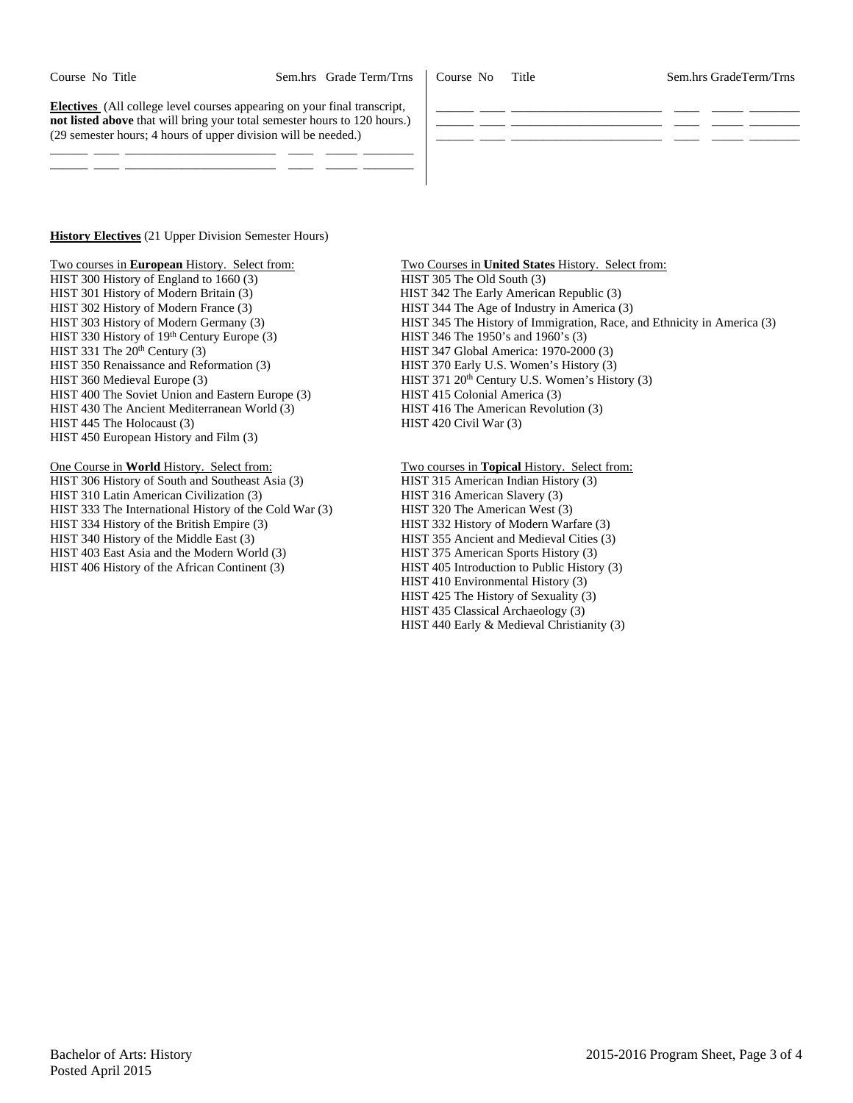Course No Title Sem.hrs GradeTerm/Trns

| <b>Electives</b> (All college level courses appearing on your final transcript,<br><b>not listed above</b> that will bring your total semester hours to 120 hours.)<br>(29 semester hours; 4 hours of upper division will be needed.) |  |
|---------------------------------------------------------------------------------------------------------------------------------------------------------------------------------------------------------------------------------------|--|
|                                                                                                                                                                                                                                       |  |

**History Electives** (21 Upper Division Semester Hours)

Two courses in **European** History. Select from: Two Courses in **United States** History. Select from:

HIST 300 History of England to 1660 (3) HIST 305 The Old South (3) HIST 301 History of Modern Britain (3) HIST 342 The Early American Republic (3) HIST 302 History of Modern France (3) HIST 344 The Age of Industry in America (3) HIST 330 History of 19<sup>th</sup> Century Europe (3) HIST 346 The 1950's and 1960's (3) HIST 331 The 20<sup>th</sup> Century (3) HIST 347 Global America: 1970-2000 (3)<br>HIST 350 Renaissance and Reformation (3) HIST 370 Early U.S. Women's History (3) HIST 350 Renaissance and Reformation (3) HIST 360 Medieval Europe (3) HIST 371 20<sup>th</sup> Century U.S. Women's History (3) HIST 400 The Soviet Union and Eastern Europe (3) HIST 415 Colonial America (3) HIST 430 The Ancient Mediterranean World (3) HIST 416 The American Revolution (3) HIST 445 The Holocaust (3) HIST 420 Civil War (3) HIST 450 European History and Film (3)

One Course in **World** History. Select from: Two courses in **Topical** History. Select from: HIST 306 History of South and Southeast Asia (3) HIST 315 American Indian History (3) HIST 310 Latin American Civilization (3) HIST 316 American Slavery (3) HIST 333 The International History of the Cold War (3) HIST 320 The American West (3) HIST 334 History of the British Empire (3) HIST 332 History of Modern Warfare (3) HIST 340 History of the Middle East (3) HIST 355 Ancient and Medieval Cities (3) HIST 403 East Asia and the Modern World (3) HIST 375 American Sports History (3) HIST 406 History of the African Continent (3) HIST 405 Introduction to Public History (3)

HIST 303 History of Modern Germany (3) HIST 345 The History of Immigration, Race, and Ethnicity in America (3)

HIST 410 Environmental History (3)

HIST 425 The History of Sexuality (3)

HIST 435 Classical Archaeology (3)

HIST 440 Early & Medieval Christianity (3)